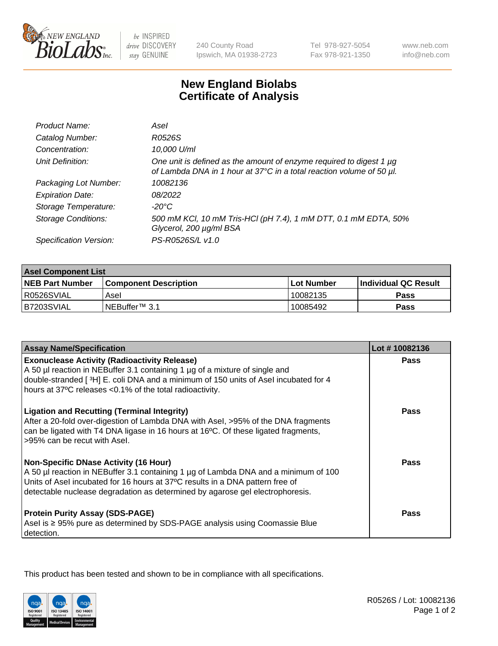

be INSPIRED drive DISCOVERY stay GENUINE

240 County Road Ipswich, MA 01938-2723 Tel 978-927-5054 Fax 978-921-1350

www.neb.com info@neb.com

## **New England Biolabs Certificate of Analysis**

| Product Name:              | Asel                                                                                                                                        |
|----------------------------|---------------------------------------------------------------------------------------------------------------------------------------------|
| Catalog Number:            | R0526S                                                                                                                                      |
| Concentration:             | 10,000 U/ml                                                                                                                                 |
| Unit Definition:           | One unit is defined as the amount of enzyme required to digest 1 µg<br>of Lambda DNA in 1 hour at 37°C in a total reaction volume of 50 µl. |
| Packaging Lot Number:      | 10082136                                                                                                                                    |
| <b>Expiration Date:</b>    | 08/2022                                                                                                                                     |
| Storage Temperature:       | $-20^{\circ}$ C                                                                                                                             |
| <b>Storage Conditions:</b> | 500 mM KCI, 10 mM Tris-HCI (pH 7.4), 1 mM DTT, 0.1 mM EDTA, 50%<br>Glycerol, 200 µg/ml BSA                                                  |
| Specification Version:     | PS-R0526S/L v1.0                                                                                                                            |

| <b>Asel Component List</b> |                              |              |                             |  |
|----------------------------|------------------------------|--------------|-----------------------------|--|
| <b>NEB Part Number</b>     | <b>Component Description</b> | l Lot Number | <b>Individual QC Result</b> |  |
| I R0526SVIAL               | Asel                         | 10082135     | <b>Pass</b>                 |  |
| B7203SVIAL                 | INEBuffer™ 3.1               | 10085492     | Pass                        |  |

| <b>Assay Name/Specification</b>                                                                                                                                                                                                                                                                       | Lot #10082136 |
|-------------------------------------------------------------------------------------------------------------------------------------------------------------------------------------------------------------------------------------------------------------------------------------------------------|---------------|
| <b>Exonuclease Activity (Radioactivity Release)</b><br>A 50 µl reaction in NEBuffer 3.1 containing 1 µg of a mixture of single and                                                                                                                                                                    | <b>Pass</b>   |
| double-stranded [3H] E. coli DNA and a minimum of 150 units of Asel incubated for 4<br>hours at 37°C releases <0.1% of the total radioactivity.                                                                                                                                                       |               |
| <b>Ligation and Recutting (Terminal Integrity)</b><br>After a 20-fold over-digestion of Lambda DNA with Asel, >95% of the DNA fragments<br>can be ligated with T4 DNA ligase in 16 hours at 16°C. Of these ligated fragments,<br>>95% can be recut with Asel.                                         | Pass          |
| <b>Non-Specific DNase Activity (16 Hour)</b><br>A 50 µl reaction in NEBuffer 3.1 containing 1 µg of Lambda DNA and a minimum of 100<br>Units of Asel incubated for 16 hours at 37°C results in a DNA pattern free of<br>detectable nuclease degradation as determined by agarose gel electrophoresis. | <b>Pass</b>   |
| <b>Protein Purity Assay (SDS-PAGE)</b><br>Asel is ≥ 95% pure as determined by SDS-PAGE analysis using Coomassie Blue<br>detection.                                                                                                                                                                    | Pass          |

This product has been tested and shown to be in compliance with all specifications.